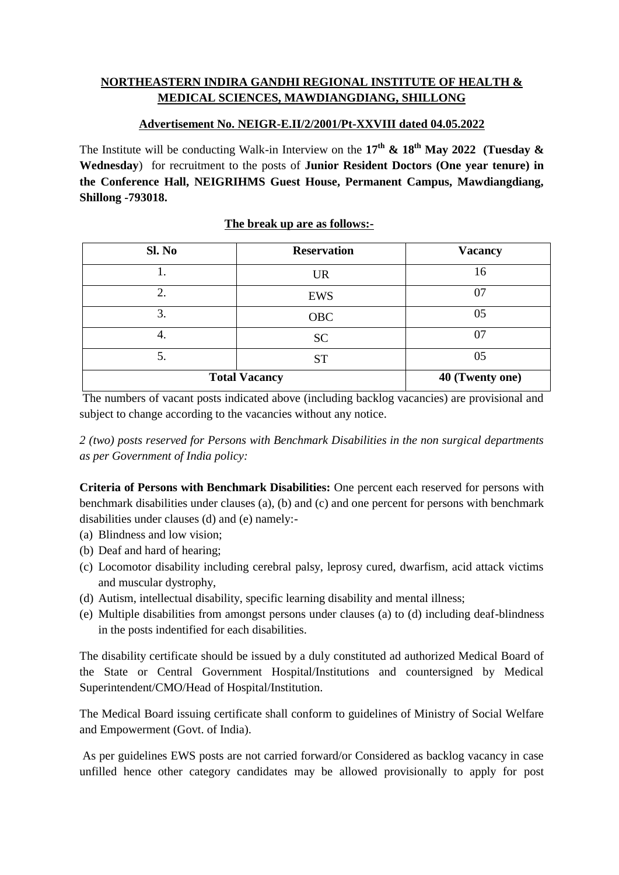# **NORTHEASTERN INDIRA GANDHI REGIONAL INSTITUTE OF HEALTH & MEDICAL SCIENCES, MAWDIANGDIANG, SHILLONG**

## **Advertisement No. NEIGR-E.II/2/2001/Pt-XXVIII dated 04.05.2022**

The Institute will be conducting Walk-in Interview on the **17th & 18th May 2022 (Tuesday & Wednesday**) for recruitment to the posts of **Junior Resident Doctors (One year tenure) in the Conference Hall, NEIGRIHMS Guest House, Permanent Campus, Mawdiangdiang, Shillong -793018.** 

|  |  | The break up are as follows:- |
|--|--|-------------------------------|
|  |  |                               |

| Sl. No               | <b>Reservation</b> | <b>Vacancy</b> |
|----------------------|--------------------|----------------|
|                      | <b>UR</b>          | 16             |
| ↑<br>۷.              | <b>EWS</b>         | 07             |
| 3.                   | <b>OBC</b>         | 05             |
| 4.                   | <b>SC</b>          | 07             |
| 5.                   | <b>ST</b>          | 05             |
| <b>Total Vacancy</b> | 40 (Twenty one)    |                |

The numbers of vacant posts indicated above (including backlog vacancies) are provisional and subject to change according to the vacancies without any notice.

*2 (two) posts reserved for Persons with Benchmark Disabilities in the non surgical departments as per Government of India policy:*

**Criteria of Persons with Benchmark Disabilities:** One percent each reserved for persons with benchmark disabilities under clauses (a), (b) and (c) and one percent for persons with benchmark disabilities under clauses (d) and (e) namely:-

- (a) Blindness and low vision;
- (b) Deaf and hard of hearing;
- (c) Locomotor disability including cerebral palsy, leprosy cured, dwarfism, acid attack victims and muscular dystrophy,
- (d) Autism, intellectual disability, specific learning disability and mental illness;
- (e) Multiple disabilities from amongst persons under clauses (a) to (d) including deaf-blindness in the posts indentified for each disabilities.

The disability certificate should be issued by a duly constituted ad authorized Medical Board of the State or Central Government Hospital/Institutions and countersigned by Medical Superintendent/CMO/Head of Hospital/Institution.

The Medical Board issuing certificate shall conform to guidelines of Ministry of Social Welfare and Empowerment (Govt. of India).

As per guidelines EWS posts are not carried forward/or Considered as backlog vacancy in case unfilled hence other category candidates may be allowed provisionally to apply for post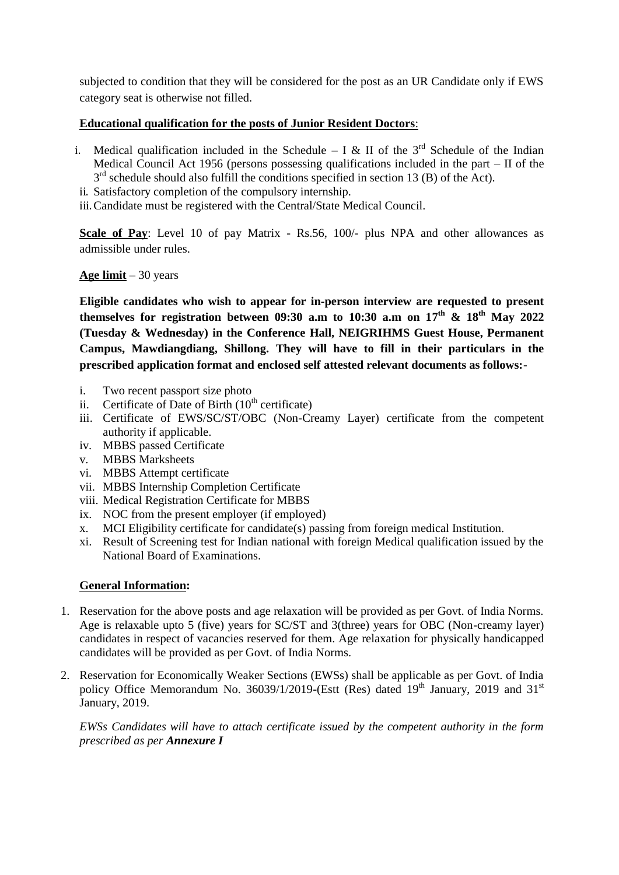subjected to condition that they will be considered for the post as an UR Candidate only if EWS category seat is otherwise not filled.

## **Educational qualification for the posts of Junior Resident Doctors**:

- i. Medical qualification included in the Schedule I & II of the  $3<sup>rd</sup>$  Schedule of the Indian Medical Council Act 1956 (persons possessing qualifications included in the part – II of the 3<sup>rd</sup> schedule should also fulfill the conditions specified in section 13 (B) of the Act).
- ii. Satisfactory completion of the compulsory internship.

iii.Candidate must be registered with the Central/State Medical Council.

**Scale of Pay**: Level 10 of pay Matrix - Rs.56, 100/- plus NPA and other allowances as admissible under rules.

## **Age limit** – 30 years

**Eligible candidates who wish to appear for in-person interview are requested to present themselves for registration between 09:30 a.m to 10:30 a.m on 17 th & 18 th May 2022 (Tuesday & Wednesday) in the Conference Hall, NEIGRIHMS Guest House, Permanent Campus, Mawdiangdiang, Shillong. They will have to fill in their particulars in the prescribed application format and enclosed self attested relevant documents as follows:-**

- i. Two recent passport size photo
- ii. Certificate of Date of Birth  $(10<sup>th</sup>$  certificate)
- iii. Certificate of EWS/SC/ST/OBC (Non-Creamy Layer) certificate from the competent authority if applicable.
- iv. MBBS passed Certificate
- v. MBBS Marksheets
- vi. MBBS Attempt certificate
- vii. MBBS Internship Completion Certificate
- viii. Medical Registration Certificate for MBBS
- ix. NOC from the present employer (if employed)
- x. MCI Eligibility certificate for candidate(s) passing from foreign medical Institution.
- xi. Result of Screening test for Indian national with foreign Medical qualification issued by the National Board of Examinations.

### **General Information:**

- 1. Reservation for the above posts and age relaxation will be provided as per Govt. of India Norms. Age is relaxable upto 5 (five) years for SC/ST and 3(three) years for OBC (Non-creamy layer) candidates in respect of vacancies reserved for them. Age relaxation for physically handicapped candidates will be provided as per Govt. of India Norms.
- 2. Reservation for Economically Weaker Sections (EWSs) shall be applicable as per Govt. of India policy Office Memorandum No. 36039/1/2019-(Estt (Res) dated  $19<sup>th</sup>$  January, 2019 and 31<sup>st</sup> January, 2019.

*EWSs Candidates will have to attach certificate issued by the competent authority in the form prescribed as per Annexure I*